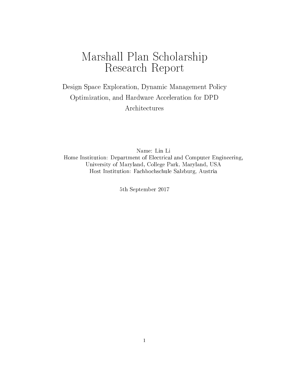# Marshall Plan Scholarship Research Report

Design Space Exploration, Dynamic Management Policy Optimization, and Hardware Acceleration for DPD Architectures

Name: Lin Li Home Institution: Department of Electrical and Computer Engineering, University of Maryland, College Park, Maryland, USA Host Institution: Fachhochschule Salzburg, Austria

5th September 2017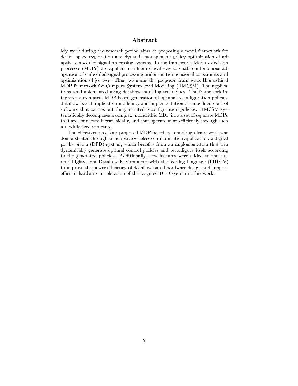### Abstract

My work during the resear
h period aims at proposing a novel framework for design space exploration and dynamic management policy optimization of adaptive embedded signal processing systems. In the framework, Markov decision processes (MDPs) are applied in a hierarchical way to enable autonomous adaptation of embedded signal pro
essing under multidimensional onstraints and optimization objectives. Thus, we name the proposed framework Hierarchical MDP framework for Compa
t System-level Modeling (HMCSM). The appli
ations are implemented using dataflow modeling techniques. The framework integrates automated, MDP-based generation of optimal reconfiguration policies, dataflow-based application modeling, and implementation of embedded control software that carries out the generated reconfiguration policies. HMCSM systematically decomposes a complex, monolithic MDP into a set of separate MDPs that are connected hierarchically, and that operate more efficiently through such a modularized stru
ture.

The effectiveness of our proposed MDP-based system design framework was demonstrated through an adaptive wireless ommuni
ation appli
ation: a digital predistortion (DPD) system, which benefits from an implementation that can dynamically generate optimal control policies and reconfigure itself according to the generated policies. Additionally, new features were added to the current LIghtweight Dataflow Environment with the Verilog language  $(LIDE-V)$ to improve the power efficiency of dataflow-based hardware design and support efficient hardware acceleration of the targeted DPD system in this work.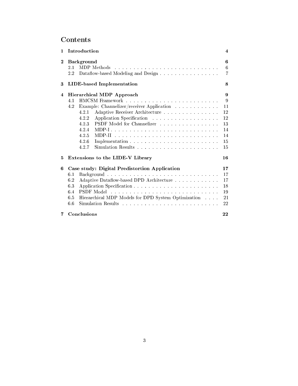# Contents

| 1                       | Introduction                                                                                                                                                                                                               | 4                                                      |  |
|-------------------------|----------------------------------------------------------------------------------------------------------------------------------------------------------------------------------------------------------------------------|--------------------------------------------------------|--|
| $\bf{2}$                | <b>Background</b><br>2.1<br>MDP Methods<br>Dataflow-based Modeling and Design<br>$2.2\,$                                                                                                                                   | 6<br>6<br>$\overline{7}$                               |  |
| 3                       | LIDE-based Implementation<br>8                                                                                                                                                                                             |                                                        |  |
| $\overline{\mathbf{4}}$ | <b>Hierarchical MDP Approach</b><br>4.1<br>Example: Channelizer/receiver Application<br>4.2<br>Adaptive Receiver Architecture<br>4.2.1<br>4.2.2<br>PSDF Model for Channelizer<br>4.2.3<br>4.2.4<br>4.2.5<br>4.2.6<br>4.2.7 | 9<br>9<br>11<br>12<br>12<br>13<br>14<br>14<br>15<br>15 |  |
| 5                       | Extensions to the LIDE-V Library<br>16                                                                                                                                                                                     |                                                        |  |
| 6                       | Case study: Digital Predistortion Application<br>6.1<br>6.2<br>Adaptive Dataflow-based DPD Architecture<br>Application Specification.<br>6.3<br>6.4<br>6.5<br>Hierarchical MDP Models for DPD System Optimization<br>6.6   | 17<br>17<br>17<br>18<br>19<br>21<br>22                 |  |
| 7                       | Conclusions                                                                                                                                                                                                                | 22                                                     |  |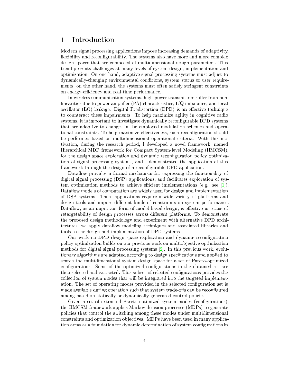### <span id="page-3-0"></span>1 Introduction

Modern signal pro
essing appli
ations impose in
reasing demands of adaptivity, flexibility and reconfigurability. The systems also have more and more complex design spa
es that are omposed of multidimensional design parameters. This trend presents hallenges at many levels of system design, implementation and optimization. On one hand, adaptive signal pro
essing systems must adjust to dynami
allyhanging environmental onditions, system status or user requirements; on the other hand, the systems must often satisfy stringent constraints on energy-efficiency and real-time performance.

In wireless communication systems, high-power transmitters suffer from nonlinearities due to power amplifier (PA) characteristics,  $I/Q$  imbalance, and local oscillator (LO) leakage. Digital Predistortion (DPD) is an effective technique to counteract these impairments. To help maximize agility in cognitive radio systems, it is important to investigate dynamically reconfigurable DPD systems that are adaptive to hanges in the employed modulation s
hemes and operational constraints. To help maximize effectiveness, such reconfiguration should be performed based on multidimensional operational criteria. With this motivation, during the resear
h period, I developed a novel framework, named Hierarchical MDP framework for Compact System-level Modeling (HMCSM), for the design space exploration and dynamic reconfiguration policy optimization of signal pro
essing systems, and I demonstrated the appli
ation of this framework through the design of a reconfigurable DPD application.

Dataflow provides a formal mechanism for expressing the functionality of digital signal processing (DSP) applications, and facilitates exploration of system optimization methods to achieve efficient implementations (e.g., see  $[1]$ ). Dataflow models of computation are widely used for design and implementation of DSP systems. These appli
ations require a wide variety of platforms and design tools and impose different kinds of constraints on system performance. Dataflow, as an important form of model-based design, is effective in terms of retargetability of design processes across different platforms. To demonstrate the proposed design methodology and experiment with alternative DPD ar
hitectures, we apply dataflow modeling techniques and associated libraries and tools to the design and implementation of DPD systems.

Our work on DPD design space exploration and dynamic reconfiguration poli
y optimization builds on our previous work on multiob je
tive optimization methods for digital signal processing systems  $[2]$ . In this previous work, evolutionary algorithms are adapted according to design specifications and applied to sear
h the multidimensional system design spa
e for a set of Pareto-optimized configurations. Some of the optimized configurations in the obtained set are then selected and extracted. This subset of selected configurations provides the olle
tion of system modes that will be integrated into the targeted implementation. The set of operating modes provided in the selected configuration set is made available during operation such that system trade-offs can be reconfigured among based on statically or dynamically generated control policies.

Given a set of extracted Pareto-optimized system modes (configurations), the HMCSM framework applies Markov de
ision pro
esses (MDPs) to generate policies that control the switching among these modes under multidimensional onstraints and optimization ob je
tives. MDPs have been used in many appli
ation areas as a foundation for dynamic determination of system configurations in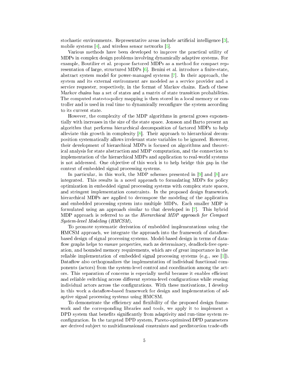stochastic environments. Representative areas include artificial intelligence  $[3]$ , mobile systems [4], and wireless sensor networks  $[5]$ .

Various methods have been developed to improve the practical utility of MDPs in complex design problems involving dynamically adaptive systems. For example, Boutilier et al. propose factored MDPs as a method for compact representation of large, structured MDPs [6]. Benini et al. introduce a finite-state, abstract system model for power-managed systems [7]. In their approach, the system and its external environment are modeled as a service provider and a service requester, respectively, in the format of Markov chains. Each of these Markov chains has a set of states and a matrix of state transition probabilities. The computed state-to-policy mapping is then stored in a local memory or controller and is used in real time to dynamically reconfigure the system according to its current state.

However, the complexity of the MDP algorithms in general grows exponentially with increases in the size of the state space. Jonsson and Barto present an algorithm that performs hierarchical decomposition of factored MDPs to help alleviate this growth in complexity  $\lceil 8 \rceil$ . Their approach to hierarchical decomposition systematically allows irrelevant state variables to be ignored. However, their development of hierarchical MDPs is focused on algorithms and theoretical analysis for state abstraction and MDP computation, and the connection to implementation of the hierarchical MDPs and application to real-world systems is not addressed. One objective of this work is to help bridge this gap in the context of embedded signal processing systems.

In particular, in this work, the MDP schemes presented in  $[9]$  and  $[8]$  are integrated. This results in a novel approach to formulating MDPs for policy optimization in embedded signal processing systems with complex state spaces, and stringent implementation constraints. In the proposed design framework, hierarchical MDPs are applied to decompose the modeling of the application and embedded processing system into multiple MDPs. Each smaller MDP is formulated using an approach similar to that developed in  $[7]$ . This hybrid MDP approach is referred to as the *Hierarchical MDP approach for Compact System-level Modeling (HMCSM).* 

To promote systematic derivation of embedded implementations using the HMCSM approach, we integrate the approach into the framework of dataflowbased design of signal processing systems. Model-based design in terms of dataflow graphs helps to ensure properties, such as determinacy, deadlock-free operation, and bounded memory requirements, which are of great importance in the reliable implementation of embedded signal processing systems (e.g., see [1]). Dataflow also orthogonalizes the implementation of individual functional components (actors) from the system-level control and coordination among the actors. This separation of concerns is especially useful because it enables efficient and reliable switching across different system-level configurations while reusing individual actors across the configurations. With these motivations, I develop in this work a data flow-based framework for design and implementation of adaptive signal processing systems using HMCSM.

To demonstrate the efficiency and flexibility of the proposed design framework and the corresponding libraries and tools, we apply it to implement a DPD system that benefits significantly from adaptivity and run-time system reconfiguration. In the targeted DPD system, Pareto-optimized DPD parameters are derived subject to multidimensional constraints and predistortion trade-offs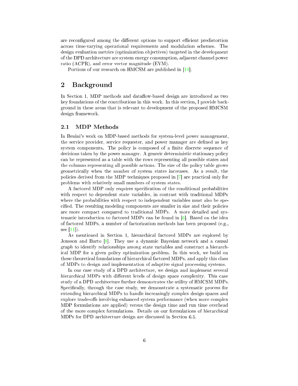are reconfigured among the different options to support efficient predistortion across time-varying operational requirements and modulation schemes. The design evaluation metrics (optimization objectives) targeted in the development of the DPD architecture are system energy consumption, adjacent channel power ratio (ACPR), and error vector magnitude (EVM).

Portions of our research on HMCSM are published in  $[10]$ .

#### <span id="page-5-0"></span> $\overline{2}$ **Background**

In Section 1, MDP methods and dataflow-based design are introduced as two key foundations of the contributions in this work. In this section, I provide background in these areas that is relevant to development of the proposed HMCSM design framework.

#### <span id="page-5-1"></span> $2.1$ **MDP** Methods

In Benini's work on MDP-based methods for system-level power management, the service provider, service requester, and power manager are defined as key system components. The policy is composed of a finite discrete sequence of decisions taken by the power manager. A generic deterministic stationary policy can be represented as a table with the rows representing all possible states and the columns representing all possible actions. The size of the policy table grows geometrically when the number of system states increases. As a result, the policies derived from the MDP techniques proposed in [7] are practical only for problems with relatively small numbers of system states.

A factored MDP only requires specification of the conditional probabilities with respect to dependent state variables, in contrast with traditional MDPs where the probabilities with respect to independent variables must also be specified. The resulting modeling components are smaller in size and their policies are more compact compared to traditional MDPs. A more detailed and systernatic introduction to factored MDPs can be found in  $[6]$ . Based on the idea of factored MDPs, a number of factorization methods has been proposed (e.g., see  $[11]$ .

As mentioned in Section 1, hierarchical factored MDPs are explored by Jonsson and Barto  $[8]$ . They use a dynamic Bayesian network and a causal graph to identify relationships among state variables and construct a hierarchical MDP for a given policy optimization problem. In this work, we build on these theoretical foundations of hierarchical factored MDPs, and apply this class of MDPs to design and implementation of adaptive signal processing systems.

In our case study of a DPD architecture, we design and implement several hierarchical MDPs with different levels of design space complexity. This case study of a DPD architecture further demonstrates the utility of HMCSM MDPs. Specifically, through the case study, we demonstrate a systematic process for extending hierarchical MDPs to handle increasingly complex design spaces and explore trade-offs involving enhanced system performance (when more complex MDP formulations are applied) versus the design time and run time overhead of the more complex formulations. Details on our formulations of hierarchical MDPs for DPD architecture design are discussed in Section 6.5.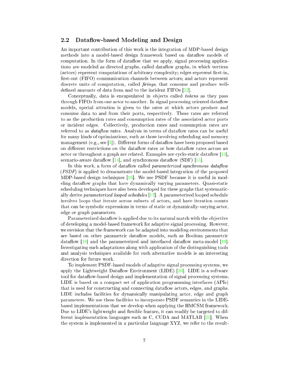#### <span id="page-6-0"></span>2.2 Dataflow-based Modeling and Design

An important ontribution of this work is the integration of MDP-based design methods into a model-based design framework based on dataflow models of computation. In the form of dataflow that we apply, signal processing applications are modeled as directed graphs, called dataflow graphs, in which vertices (actors) represent computations of arbitrary complexity; edges represent first-in, first-out (FIFO) communication channels between actors; and actors represent discrete units of computation, called *firings*, that consume and produce welldefined amounts of data from and to the incident FIFOs  $[12]$ .

Conceptually, data is encapsulated in objects called *tokens* as they pass through FIFOs from one actor to another. In signal processing oriented dataflow models, special attention is given to the rates at which actors produce and onsume data to and from their ports, respe
tively. These rates are referred to as the produ
tion rates and onsumption rates of the asso
iated a
tor ports or in
ident edges. Colle
tively, produ
tion rates and onsumption rates are referred to as *dataflow rates*. Analysis in terms of dataflow rates can be useful for many kinds of optimizations, su
h as those involving s
heduling and memory management  $(e.g., see [1])$ . Different forms of dataflow have been proposed based on different restrictions on the dataflow rates or how dataflow rates across an actor or throughout a graph are related. Examples are cyclo-static dataflow  $[13]$ , scenario-aware dataflow  $[14]$ , and synchronous dataflow (SDF)  $[15]$ .

In this work, a form of dataflow called *parameterized synchronous dataflow* (PSDF) is applied to demonstrate the model-based integration of the proposed MDP-based design techniques  $[16]$ . We use PSDF because it is useful in modeling dataflow graphs that have dynamically varying parameters. Quasi-static scheduling techniques have also been developed for these graphs that systematically derive parameterized looped schedules  $[17]$ . A parameterized looped schedule involves loops that iterate across subsets of actors, and have iteration counts that can be symbolic expressions in terms of static or dynamically-varying actor, edge or graph parameters.

Parameterized dataflow is applied due to its natural match with the objective of developing a model-based framework for adaptive signal pro
essing. However, we envision that the framework can be adapted into modeling environments that are based on other parametric dataflow models, such as Boolean parametric dataflow  $\left[18\right]$  and the parameterized and interfaced dataflow meta-model  $\left[19\right]$ . Investigating su
h adaptations along with appli
ation of the distinguishing tools and analysis te
hniques available for su
h alternative models is an interesting dire
tion for future work.

To implement PSDF-based models of adaptive signal pro
essing systems, we apply the Lightweight Dataflow Environment (LIDE)  $[20]$ . LIDE is a software tool for dataflow-based design and implementation of signal processing systems. LIDE is based on a compact set of application programming interfaces (APIs) that is used for constructing and connecting dataflow actors, edges, and graphs. LIDE includes facilities for dynamically manipulating actor, edge and graph parameters. We use these facilities to incorporate PSDF semantics in the LIDEbased implementations that we develop when applying the HMCSM framework. Due to LIDE's lightweight and flexible feature, it can readily be targeted to different implementation languages such as C, CUDA and MATLAB  $[21]$ . When the system is implemented in a parti
ular language XYZ, we refer to the result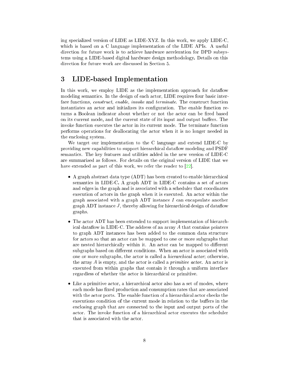ing spe
ialized version of LIDE as LIDE-XYZ. In this work, we apply LIDE-C, which is based on a C language implementation of the LIDE APIs. A useful direction for future work is to achieve hardware acceleration for DPD subsystems using a LIDE-based digital hardware design methodology. Details on this direction for future work are discussed in Section [5.](#page-15-0)

#### <span id="page-7-0"></span>3 3 LIDE-based Implementation

In this work, we employ LIDE as the implementation approach for dataflow modeling semantics. In the design of each actor, LIDE requires four basic interface functions, *construct*, *enable*, *invoke* and *terminate*. The construct function instantiates an actor and initializes its configuration. The enable function returns a Boolean indicator about whether or not the actor can be fired based on its current mode, and the current state of its input and output buffers. The invoke function executes the actor in its current mode. The terminate function performs operations for deallo
ating the a
tor when it is no longer needed in the en
losing system.

We target our implementation to the C language and extend LIDE-C by providing new capabilities to support hierarchical data flow modeling and PSDF semanti
s. The key features and utilities added in the new version of LIDE-C are summarized as follows. For details on the original version of LIDE that we have extended as part of this work, we refer the reader to  $[22]$ .

- A graph abstract data type (ADT) has been created to enable hierarchical semantics in LIDE-C. A graph ADT in LIDE-C contains a set of actors and edges in the graph and is associated with a scheduler that coordinates execution of actors in the graph when it is executed. An actor within the graph associated with a graph ADT instance  $I$  can encapsulate another  $graph ADT$  instance  $J$ , thereby allowing for hierarchical design of dataflow graphs.
- The actor ADT has been extended to support implementation of hierarchical dataflow in LIDE-C. The address of an array  $A$  that contains pointers to graph ADT instan
es has been added to the ommon data stru
ture for actors so that an actor can be mapped to one or more subgraphs that are nested hierarchically within it. An actor can be mapped to different subgraphs based on different conditions. When an actor is associated with one or more subgraphs, the actor is called a *hierarchical actor*; otherwise, the array  $A$  is empty, and the actor is called a *primitive actor*. An actor is executed from within graphs that contain it through a uniform interface regardless of whether the actor is hierarchical or primitive.
- Like a primitive actor, a hierarchical actor also has a set of modes, where each mode has fixed production and consumption rates that are associated with the actor ports. The enable function of a hierarchical actor checks the executions condition of the current mode in relation to the buffers in the en
losing graph that are onne
ted to the input and output ports of the actor. The invoke function of a hierarchical actor executes the scheduler that is associated with the actor.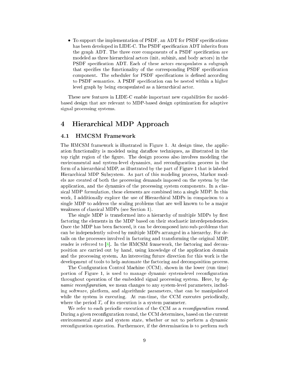• To support the implementation of PSDF, an ADT for PSDF specifications has been developed in LIDE-C. The PSDF specification ADT inherits from the graph ADT. The three core components of a PSDF specification are modeled as three hierarchical actors (init, subinit, and body actors) in the PSDF specification ADT. Each of these actors encapsulates a subgraph that specifies the functionality of the corresponding PSDF specification component. The scheduler for PSDF specifications is defined according to PSDF semantics. A PSDF specification can be nested within a higher level graph by being encapsulated as a hierarchical actor.

These new features in LIDE-C enable important new apabilities for modelbased design that are relevant to MDP-based design optimization for adaptive signal pro
essing systems.

#### <span id="page-8-0"></span> $\overline{\mathbf{4}}$ Hierarchical MDP Approach

#### <span id="page-8-1"></span>4.1 HMCSM Framework

The HMCSM framework is illustrated in Figure [1.](#page-9-0) At design time, the appli
 ation functionality is modeled using dataflow techniques, as illustrated in the top right region of the figure. The design process also involves modeling the environmental and system-level dynamics, and reconfiguration process in the form of a hierarchical MDP, as illustrated by the part of Figure [1](#page-9-0) that is labeled Hierarchical MDP Subsystem. As part of this modeling process, Markov models are reated of both the pro
essing demands imposed on the system by the application, and the dynamics of the processing system components. In a classi
al MDP formulation, these elements are ombined into a single MDP. In this work, I additionally explore the use of Hierarchical MDPs in comparison to a single MDP to address the scaling problems that are well known to be a major weakness of classical MDPs (see Section [1\)](#page-3-0).

The single MDP is transformed into a hierarchy of multiple MDPs by first factoring the elements in the MDP based on their stochastic interdependencies. Once the MDP has been factored, it can be decomposed into sub-problems that an be independently solved by multiple MDPs arranged in a hierar
hy. For details on the processes involved in factoring and transforming the original MDP, reader is referred to  $[8]$ . In the HMCSM framework, the factoring and decomposition are arried out by hand, using knowledge of the appli
ation domain and the pro
essing system. An interesting future dire
tion for this work is the development of tools to help automate the factoring and decomposition process.

The Configuration Control Machine (CCM), shown in the lower (run time) portion of Figure [1,](#page-9-0) is used to manage dynamic system-level reconfiguration throughout operation of the embedded signal processing system. Here, by  $dy$ *namic reconfiguration*, we mean changes to any system-level parameters, including software, platform, and algorithmi parameters, that an be manipulated while the system is executing. At run-time, the CCM executes periodically, where the period  $T_c$  of its execution is a system parameter.

We refer to each periodic execution of the CCM as a *reconfiguration round*. During a given reconfiguration round, the CCM determines, based on the current environmental state and system state, whether or not to perform a dynami reconfiguration operation. Furthermore, if the determination is to perform such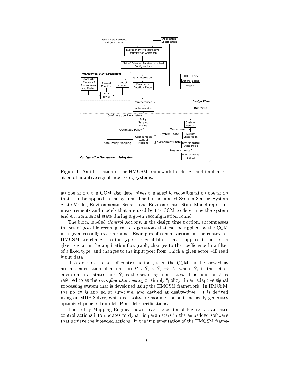

<span id="page-9-0"></span>Figure 1: An illustration of the HMCSM framework for design and implementation of adaptive signal pro
essing systems.

an operation, the CCM also determines the specific reconfiguration operation that is to be applied to the system. The blo
ks labeled System Sensor, System State Model, Environmental Sensor, and Environmental State Model represent measurements and models that are used by the CCM to determine the system and environmental state during a given reconfiguration round.

The block labeled *Control Actions*, in the design time portion, encompasses the set of possible reconfiguration operations that can be applied by the CCM in a given reconfiguration round. Examples of control actions in the context of HMCSM are changes to the type of digital filter that is applied to process a given signal in the application flowgraph, changes to the coefficients in a filter of a fixed type, and changes to the input port from which a given actor will read input data.

If A denotes the set of control actions, then the CCM can be viewed as an implementation of a function  $P : S_e \times S_s \to A$ , where  $S_e$  is the set of environmental states, and  $S<sub>s</sub>$  is the set of system states. This function P is referred to as the *reconfiguration policy* or simply "policy" in an adaptive signal pro
essing system that is developed using the HMCSM framework. In HMCSM, the poli
y is applied at run-time, and derived at design-time. It is derived using an MDP Solver, which is a software module that automatically generates optimized policies from MDP model specifications.

The Poli
y Mapping Engine, shown near the enter of Figure [1,](#page-9-0) translates ontrol a
tions into updates to dynami parameters in the embedded software that achieve the intended actions. In the implementation of the HMCSM frame-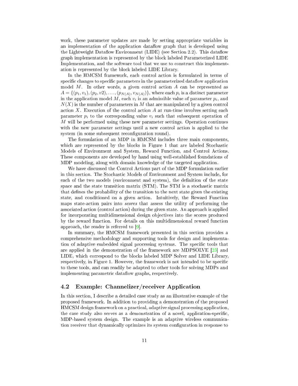work, these parameter updates are made by setting appropriate variables in an implementation of the application dataflow graph that is developed using the Lightweight Dataflow Environment (LIDE) (see Section [2.2\)](#page-6-0). This dataflow graph implementation is represented by the blo
k labeled Parameterized LIDE Implementation, and the software tool that we use to construct this implementation is represented by the blo
k labeled LIDE Library.

In the HMCSM framework, each control action is formulated in terms of specific changes to specific parameters in the parameterized dataflow application model  $M$ . In other words, a given control action  $A$  can be represented as  $A = \{(p_1, v_1), (p_2, v_2), \ldots, (p_{N(A)}, v_{N(A)})\}$ , where each  $p_i$  is a distinct parameter in the application model M, each  $v_i$  is an admissible value of parameter  $p_i$ , and  $N(X)$  is the number of parameters in M that are manipulated by a given control action X. Execution of the control action A at run-time involves setting each parameter  $p_i$  to the corresponding value  $v_i$  such that subsequent operation of M will be performed using these new parameter settings. Operation continues with the new parameter settings until a new control action is applied to the system (in some subsequent reconfiguration round).

The formulation of an MDP in HMCSM in
ludes three main omponents, which are represented by the blocks in Figure [1](#page-9-0) that are labeled Stochastic Models of Environment and System, Reward Function, and Control Actions. These omponents are developed by hand using well-established foundations of MDP modeling, along with domain knowledge of the targeted appli
ation.

We have discussed the Control Actions part of the MDP formulation earlier in this se
tion. The Sto
hasti Models of Environment and System in
lude, for each of the two models (environment and system), the definition of the state space and the state transition matrix (STM). The STM is a stochastic matrix that defines the probability of the transition to the next state given the existing state, and conditioned on a given action. Intuitively, the Reward Function maps state-action pairs into *scores* that assess the utility of performing the associated action (control action) during the given state. An approach is applied for incorporating multidimensional design objectives into the scores produced by the reward fun
tion. For details on this multidimensional reward fun
tion approach, the reader is referred to  $[9]$ .

In summary, the HMCSM framework presented in this section provides a omprehensive methodology and supporting tools for design and implementation of adaptive embedded signal processing systems. The specific tools that are applied in the demonstration of the framework are MDPSOLVE  $[23]$  and LIDE, whi
h orrespond to the blo
ks labeled MDP Solver and LIDE Library, respectively, in Figure [1.](#page-9-0) However, the framework is not intended to be specific to these tools, and an readily be adapted to other tools for solving MDPs and implementing parametric dataflow graphs, respectively.

### <span id="page-10-0"></span>4.2 Example: Channelizer/re
eiver Appli
ation

In this section, I describe a detailed case study as an illustrative example of the proposed framework. In addition to providing a demonstration of the proposed HMCSM design framework on a practical, adaptive signal processing application, the case study also serves as a demonstration of a novel, application-specific, MDP-based system design. The example is an adaptive wireless ommuni
ation receiver that dynamically optimizes its system configuration in response to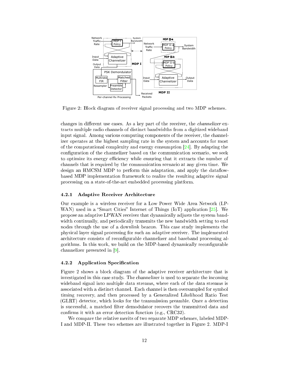

<span id="page-11-2"></span>Figure 2: Blo
k diagram of re
eiver signal pro
essing and two MDP s
hemes.

changes in different use cases. As a key part of the receiver, the *channelizer* extracts multiple radio channels of distinct bandwidths from a digitized wideband input signal. Among various computing components of the receiver, the channelizer operates at the highest sampling rate in the system and accounts for most of the computational complexity and energy consumption  $[24]$ . By adapting the configuration of the channelizer based on the communication scenario, we seek to optimize its energy efficiency while ensuring that it extracts the number of hannels that is required by the ommuni
ation s
enario at any given time. We design an HMCSM MDP to perform this adaptation, and apply the dataflowbased MDP implementation framework to realize the resulting adaptive signal pro
essing on a state-of-the-art embedded pro
essing platform.

#### <span id="page-11-0"></span>4.2.1 Adaptive Re
eiver Ar
hite
ture

Our example is a wireless re
eiver for a Low Power Wide Area Network (LP-WAN) used in a "Smart Cities" Internet of Things (IoT) application  $[25]$ . We propose an adaptive LPWAN re
eiver that dynami
ally adjusts the system bandwidth continually, and periodically transmits the new bandwidth setting to end nodes through the use of a downlink bea
on. This ase study implements the physi
al layer signal pro
essing for su
h an adaptive re
eiver. The implemented architecture consists of reconfigurable channelizer and baseband processing algorithms. In this work, we build on the MDP-based dynamically reconfigurable channelizer presented in  $[9]$ .

### <span id="page-11-1"></span>4.2.2 Application Specification

Figure [2](#page-11-2) shows a block diagram of the adaptive receiver architecture that is investigated in this ase study. The hannelizer is used to separate the in
oming wideband signal into multiple data streams, where ea
h of the data streams is asso
iated with a distin
t hannel. Ea
h hannel is then oversampled for symbol timing re
overy, and then pro
essed by a Generalized Likelihood Ratio Test (GLRT) detector, which looks for the transmission preamble. Once a detection is successful, a matched filter demodulator recovers the transmitted data and confirms it with an error detection function (e.g.,  $CRC32$ ).

We compare the relative merits of two separate MDP schemes, labeled MDP-I and MDP-II. These two s
hemes are illustrated together in Figure [2.](#page-11-2) MDP-I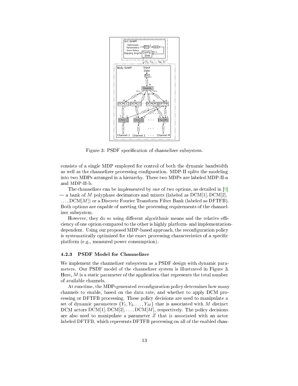

<span id="page-12-1"></span>Figure 3: PSDF specification of channelizer subsystem.

consists of a single MDP employed for control of both the dynamic bandwidth as well as the channelizer processing configuration. MDP-II splits the modeling into two MDPs arranged in a hierar
hy. These two MDPs are labeled MDP-II-a and MDP-II-b.

The channelizer can be implemented by one of two options, as detailed in [9]  $-$  a bank of M polyphase decimators and mixers (labeled as  $DCM[1], DCM[2],$  $\ldots$ , DCM[M]) or a Discrete Fourier Transform Filter Bank (labeled as DFTFB). Both options are apable of meeting the pro
essing requirements of the hannelizer subsystem.

However, they do so using different algorithmic means and the relative effiien
y of one option ompared to the other is highly platform- and implementationdependent. Using our proposed MDP-based approach, the reconfiguration policy is systematically optimized for the exact processing characteristics of a specific platform (e.g., measured power onsumption).

### <span id="page-12-0"></span>4.2.3 PSDF Model for Channelizer

We implement the channelizer subsystem as a PSDF design with dynamic parameters. Our PSDF model of the hannelizer system is illustrated in Figure [3.](#page-12-1) Here,  $M$  is a static parameter of the application that represents the total number of available hannels.

At run-time, the MDP-generated reconfiguration policy determines how many hannels to enable, based on the data rate, and whether to apply DCM pro essing or DFTFB pro
essing. These poli
y de
isions are used to manipulate a set of dynamic parameters  $\{Y_1, Y_2, \ldots, Y_M\}$  that is associated with M distinct DCM actors  $DCM[1], DCM[2], \ldots, DCM[M]$ , respectively. The policy decisions are also used to manipulate a parameter Z that is asso
iated with an a
tor labeled DFTFB, which represents DFTFB processing on all of the enabled chan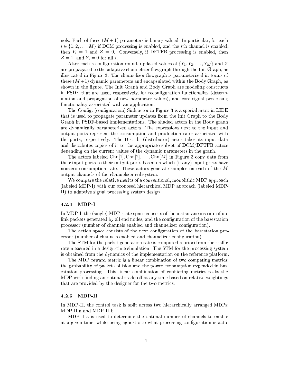nels. Each of these  $(M+1)$  parameters is binary valued. In particular, for each  $i \in \{1, 2, \ldots, M\}$  if DCM processing is enabled, and the *i*th channel is enabled. then  $Y_i = 1$  and  $Z = 0$ . Conversely, if DFTFB processing is enabled, then  $Z=1$ , and  $Y_i=0$  for all i.

After each reconfiguration round, updated values of  $\{Y_1, Y_2, \ldots, Y_M\}$  and Z are propagated to the adaptive channelizer flowgraph through the Init Graph, as illustrated in Figure [3.](#page-12-1) The channelizer flowgraph is parameterized in terms of these  $(M+1)$  dynamic parameters and encapsulated within the Body Graph, as shown in the figure. The Init Graph and Body Graph are modeling constructs in PSDF that are used, respectively, for reconfiguration functionality (determination and propagation of new parameter values), and core signal processing functionality associated with an application.

The Config. (configuration) Sink actor in Figure [3](#page-12-1) is a special actor in LIDE that is used to propagate parameter updates from the Init Graph to the Body Graph in PSDF-based implementations. The shaded a
tors in the Body graph are dynami
ally parameterized a
tors. The expressions next to the input and output ports represent the onsumption and produ
tion rates asso
iated with the ports, respe
tively. The Distrib. (distributor) a
tor takes its input data and distributes opies of it to the appropriate subset of DCM/DFTFB a
tors depending on the current values of the dynamic parameters in the graph.

The actors labeled  $\text{Chn}[1], \text{Chn}[2], \ldots, \text{Chn}[M]$  in Figure [3](#page-12-1) copy data from their input ports to their output ports based on whi
h (if any) input ports have nonzero onsumption rate. These a
tors generate samples on ea
h of the M output hannels of the hannelizer subsystem.

We compare the relative merits of a conventional, monolithic MDP approach (labeled MDP-I) with our proposed hierar
hi
al MDP approa
h (labeled MDP-II) to adaptive signal pro
essing system design.

#### <span id="page-13-0"></span>4.2.4 MDP-I

In MDP-I, the (single) MDP state space consists of the instantaneous rate of uplink packets generated by all end nodes, and the configuration of the basestation processor (number of channels enabled and channelizer configuration).

The action space consists of the next configuration of the basestation processor (number of channels enabled and channelizer configuration).

The STM for the packet generation rate is computed a priori from the traffic rate measured in a design-time simulation. The STM for the pro
essing system is obtained from the dynami
s of the implementation on the referen
e platform.

The MDP reward metric is a linear combination of two competing metrics: the probability of packet collision and the power consumption expended in basestation processing. This linear combination of conflicting metrics tasks the MDP with finding an optimal trade-off at any time based on relative weightings that are provided by the designer for the two metri
s.

<span id="page-13-1"></span>In MDP-II, the control task is split across two hierarchically arranged MDPs: MDP-II-a and MDP-II-b.

MDP-II-a is used to determine the optimal number of hannels to enable at a given time, while being agnostic to what processing configuration is actu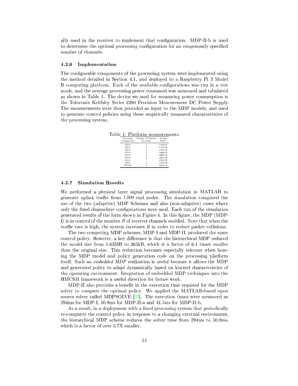ally used in the receiver to implement that configuration. MDP-II-b is used to determine the optimal processing configuration for an exogenously specified number of channels.

#### <span id="page-14-0"></span>4.2.6 Implementation

The configurable components of the processing system were implemented using the method detailed in Se
tion [4.1,](#page-8-1) and deployed to a Raspberry Pi 3 Model B computing platform. Each of the available configurations was run in a test mode, and the average pro
essing power onsumed was measured and tabulated as shown in Table [1.](#page-14-2) The device we used for measuring power consumption is the Tektronix Keithley Series 2280 Pre
ision Measurement DC Power Supply. The measurements were then provided as input to the MDP models, and used to generate control policies using these empirically measured characteristics of the pro
essing system.

Table 1: Platform measurements.

<span id="page-14-2"></span>

| Processing<br>Configuration | Number of Channels<br>Processed | Average<br>Power |
|-----------------------------|---------------------------------|------------------|
| D CM                        |                                 | 1.4406 W         |
| D CM                        | 2                               | 1.4781 W         |
| D CM                        | 3                               | 1.5203 W         |
| D CM                        | 4                               | 1.5660 W         |
| D CM                        | 5                               | 1.6025 W         |
| D CM                        | 6                               | 16524 W          |
| D CM                        | 7                               | 1.7013 W         |
| D CM                        | 8                               | 1.7453 W         |
| DFTFB                       | 8                               | 1.6754 W         |

#### <span id="page-14-1"></span>4.2.7 Simulation Results

We performed a physical layer signal processing simulation in MATLAB to generate uplink traffic from 1,000 end nodes. The simulation compared the use of the two (adaptive) MDP Schemes and also (non-adaptive) cases where only the fixed channelizer configurations were used. Each run of the simulation generated results of the form shown in Figure [4.](#page-15-1) In this gure, the MDP (MDP-I) is in control of the number R of receiver channels enabled. Note that when the traffic rate is high, the system increases  $R$  in order to reduce packet collisions.

The two ompeting MDP s
hemes, MDP-I and MDP-II, produ
ed the same control policy. However, a key difference is that the hierarchical MDP reduced the model size from 1.63MB to 265kB, which is a factor of 6.1 times smaller than the original size. This redu
tion be
omes espe
ially relevant when housing the MDP model and poli
y generation ode on the pro
essing platform itself. Such an *embedded MDP* realization is useful because it allows the MDP and generated policy to adapt dynamically based on learned characteristics of the operating environment. Integration of embedded MDP te
hniques into the HMCSM framework is a useful dire
tion for future work.

MDP-II also provides a benefit in the execution time required for the MDP solver to compute the optimal policy. We applied the MATLAB-based open source solver called MDPSOLVE  $[23]$ . The execution times were measured as 294ms for MDP-I, 50.8ms for MDP-II-a and 41.5ms for MDP-II-b.

As a result, in a deployment with a fixed processing system that periodically reomputes the ontrol poli
y in response to a hanging external environment, the hierarchical MDP scheme reduces the solver time from 294ms to 50.8ms, which is a factor of over  $5.7X$  smaller.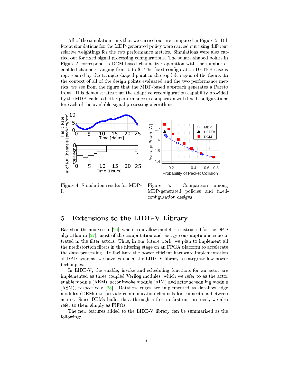All of the simulation runs that we arried out are ompared in Figure [5.](#page-15-2) Different simulations for the MDP-generated policy were carried out using different relative weightings for the two performance metrics. Simulations were also carried out for fixed signal processing configurations. The square-shaped points in Figure [5](#page-15-2) orrespond to DCM-based hannelizer operation with the number of enabled channels ranging from  $1$  to  $8$ . The fixed configuration DFTFB case is represented by the triangle-shaped point in the top left region of the figure. In the ontext of all of the design points evaluated and the two performan
e metrics, we see from the figure that the MDP-based approach generates a Pareto front. This demonstrates that the adaptive reconfiguration capability provided by the MDP leads to better performance in comparison with fixed configurations for each of the available signal processing algorithms.



<span id="page-15-1"></span>Figure 4: Simulation results for MDP-I.

<span id="page-15-2"></span>Figure 5: Comparison among MDP-generated policies and fixedconfiguration designs.

### <span id="page-15-0"></span>5 Extensions to the LIDE-V Library

Based on the analysis in  $[26]$ , where a dataflow model is constructed for the DPD algorithm in  $[27]$ , most of the computation and energy consumption is concentrated in the filter actors. Thus, in our future work, we plan to implement all the predistortion filters in the filtering stage on an FPGA platform to accelerate the data processing. To facilitate the power efficient hardware implementation of DPD systems, we have extended the LIDE-V library to integrate low power te
hniques.

In LIDE-V, the enable, invoke and scheduling functions for an actor are implemented as three coupled Verilog modules, which we refer to as the actor enable module (AEM), actor invoke module (AIM) and actor scheduling module (ASM), respectively  $[28]$ . Dataflow edges are implemented as dataflow edge modules (DEMs) to provide communication channels for connections between actors. Since DEMs buffer data through a first-in first-out protocol, we also refer to them simply as FIFOs.

The new features added to the LIDE-V library an be summarized as the following: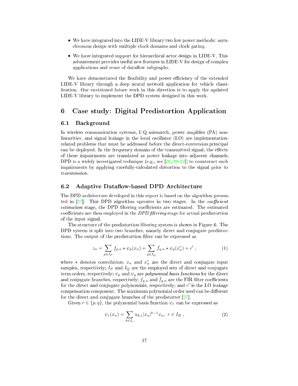- We have integrated into the LIDE-V library two low power methods: asyn hronous design with multiple lo
k domains and lo
k gating.
- We have integrated support for hierarchical actor design in LIDE-V. This advan
ement provides useful new features in LIDE-V for design of omplex applications and reuse of dataflow subgraphs.

We have demonstrated the flexibility and power efficiency of the extended LIDE-V library through a deep neural network application for vehicle classification. Our envisioned future work in this direction is to apply the updated LIDE-V library to implement the DPD system designed in this work.

## <span id="page-16-0"></span>6 Case study: Digital Predistortion Appli
ation

### <span id="page-16-1"></span>6.1 Ba
kground

In wireless communication systems,  $I/Q$  mismatch, power amplifier (PA) nonlinearities, and signal leakage in the local oscillator (LO) are implementationrelated problems that must be addressed before the direct-conversion principal can be deployed. In the frequency domain of the transmitted signal, the effects of these impairments are translated as power leakage into adja
ent hannels. DPD is a widely investigated technique (e.g., see  $[26, 29-32]$  $[26, 29-32]$  $[26, 29-32]$  $[26, 29-32]$ ) to counteract such impairments by applying arefullyal
ulated distortion to the signal prior to transmission.

#### <span id="page-16-2"></span>6.2 Adaptive Dataflow-based DPD Architecture

The DPD architecture developed in this report is based on the algorithm presented in  $[27]$ . This DPD algorithm operates in two stages. In the *coefficient* estimation stage, the DPD filtering coefficients are estimated. The estimated coefficients are then employed in the *DPD filtering* stage for actual predistortion of the input signal.

The structure of the predistortion filtering system is shown in Figure [6.](#page-17-1) The DPD system is split into two branches, namely direct and conjugate predistortions. The output of the predistortion filter can be expressed as

<span id="page-16-4"></span>
$$
z_n = \sum_{p \in I_P} f_{p,n} \star \psi_p(x_n) + \sum_{q \in I_Q} \bar{f}_{q,n} \star \psi_q(x_n^*) + c' , \qquad (1)
$$

where  $\star$  denotes convolution;  $x_n$  and  $x_n^*$  are the direct and conjugate input samples, respectively;  $I_P$  and  $I_Q$  are the employed sets of direct and conjugate term orders, respectively;  $\psi_p$  and  $\psi_q$  are *polynomial basis functions* for the direct and conjugate branches, respectively;  $f_{p,n}$  and  $\bar{f}_{q,n}$  are the FIR filter coefficients for the direct and conjugate polynomials, respectively; and  $c'$  is the LO leakage compensation component. The maximum polynomial order used can be different for the direct and conjugate branches of the predistorter  $[27]$ .

Given  $r \in \{p, q\}$ , the polynomial basis function  $\psi_r$  can be expressed as

<span id="page-16-3"></span>
$$
\psi_r(x_n) = \sum_{k \in I_r} u_{k,r} |x_n|^{k-1} x_n, \ r \in I_R \ , \tag{2}
$$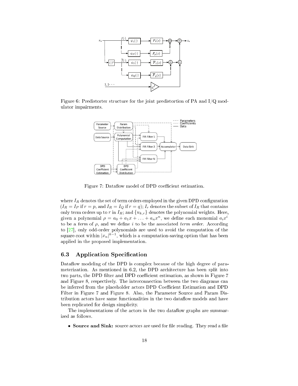

Figure 6: Predistorter structure for the joint predistortion of PA and  $I/Q$  modulator impairments.

<span id="page-17-1"></span>

<span id="page-17-2"></span>Figure 7: Dataflow model of DPD coefficient estimation.

where  $I_R$  denotes the set of term orders employed in the given DPD configuration  $(I_R = I_P)$  if  $r = p$ , and  $I_R = I_Q$  if  $r = q$ );  $I_r$  denotes the subset of  $I_R$  that contains only term orders up to r in  $I_R$ ; and  $\{u_{k,r}\}$  denotes the polynomial weights. Here, given a polynomial  $\rho = a_0 + a_1 x + \ldots + a_n x^n$ , we define each monomial  $a_i x^i$ to be a term of  $\rho$ , and we define i to be the associated term order. According to  $[27]$ , only odd-order polynomials are used to avoid the computation of the square-root within  $|x_n|^{k-1}$ , which is a computation-saving option that has been applied in the proposed implementation.

### <span id="page-17-0"></span>6.3 Application Specification

Dataflow modeling of the DPD is complex because of the high degree of para-meterization. As mentioned in [6.2,](#page-16-2) the DPD architecture has been split into two parts, the DPD filter and DPD coefficient estimation, as shown in Figure [7](#page-17-2) and Figure [8,](#page-18-1) respectively. The interconnection between the two diagrams can be inferred from the placeholder actors DPD Coefficient Estimation and DPD Filter in Figure [7](#page-17-2) and Figure [8.](#page-18-1) Also, the Parameter Sour
e and Param Distribution actors have same functionalities in the two dataflow models and have been replicated for design simplicity.

The implementations of the actors in the two dataflow graphs are summarized as follows.

• Source and Sink: source actors are used for file reading. They read a file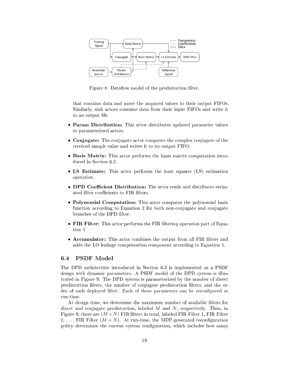

<span id="page-18-1"></span>Figure 8: Dataflow model of the predistortion filter.

that ontains data and move the a
quired values to their output FIFOs. Similarly, sink actors consume data from their input FIFOs and write it to an output file.

- Param Distribution: This actor distributes updated parameter values to parameterized actors.
- Conjugate: The conjugate actor computes the complex conjugate of the re
eived sample value and writes it to its output FIFO.
- Basis Matrix: This actor performs the basis matrix computation intro-duced in Section [6.2.](#page-16-2)
- LS Estimate: This actor performs the least squares (LS) estimation operation.
- **DPD Coefficient Distribution:** The actor reads and distributes estimated filter coefficients to FIR filters.
- Polynomial Computation: This actor computes the polynomial basis function according to Equation [2](#page-16-3) for both non-conjugate and conjugate branches of the DPD filter.
- FIR Filter: This actor performs the FIR filtering operation part of Equation 1.
- Accumulator: This actor combines the output from all FIR filters and adds the LO leakage compensation component according to Equation [1.](#page-16-4)

#### <span id="page-18-0"></span>6.4 PSDF Model

The DPD architecture introduced in Section [6.3](#page-17-0) is implemented as a PSDF design with dynamic parameters. A PSDF model of the DPD system is illustrated in Figure [9.](#page-19-0) The DPD system is parameterized by the number of dire
t predistortion filters, the number of conjugate predistortion filters, and the order of each deployed filter. Each of these parameters can be reconfigured at run-time.

At design time, we determine the maximum number of available filters for direct and conjugate predistortion, labeled  $M$  and  $N$ , respectively. Thus, in Figure [9,](#page-19-0) there are  $(M+N)$  FIR filters in total, labeled FIR Filter 1, FIR Filter 2, ..., FIR Filter  $(M+N)$ . At run-time, the MDP-generated reconfiguration policy determines the current system configuration, which includes how many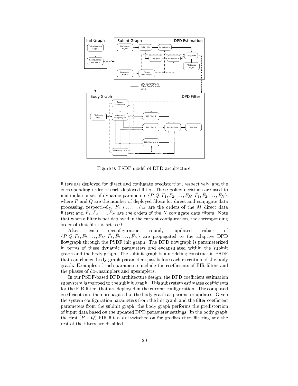

<span id="page-19-0"></span>Figure 9: PSDF model of DPD architecture.

filters are deployed for direct and conjugate predistortion, respectively, and the corresponding order of each deployed filter. These policy decisions are used to manipulate a set of dynamic parameters  $\{P,Q,F_1,F_2,\ldots,F_M,\overline{F}_1,\overline{F}_2,\ldots,\overline{F}_N\},\$ where  $P$  and  $Q$  are the number of deployed filters for direct and conjugate data processing, respectively;  $F_1, F_2, \ldots, F_M$  are the orders of the M direct data filters; and  $\bar{F}_1, \bar{F}_2, \ldots, \bar{F}_N$  are the orders of the N conjugate data filters. Note that when a filter is not deployed in the current configuration, the corresponding order of that filter is set to 0.

After each reconfiguration round, updated values <sub>of</sub>  $\{P,Q,F_1,F_2,\ldots,F_M,\bar{F}_1,\bar{F}_2,\ldots,\bar{F}_N\}$  are propagated to the adaptive DPD flowgraph through the PSDF init graph. The DPD flowgraph is parameterized in terms of these dynamic parameters and encapsulated within the subinit graph and the body graph. The subinit graph is a modeling construct in PSDF that can change body graph parameters just before each execution of the body graph. Examples of such parameters include the coefficients of FIR filters and the phases of downsamplers and upsamplers.

In our PSDF-based DPD architecture design, the DPD coefficient estimation subsystem is mapped to the subinit graph. This subsystem estimates coefficients for the FIR filters that are deployed in the current configuration. The computed coefficients are then propagated to the body graph as parameter updates. Given the system configuration parameters from the init graph and the filter coefficient parameters from the subject graph, the body graph performs the predistortion of input data based on the updated DPD parameter settings. In the body graph, the first  $(P+Q)$  FIR filters are switched on for predistortion filtering and the rest of the filters are disabled.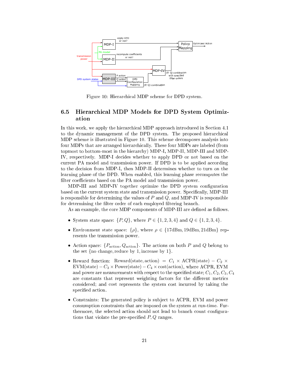

<span id="page-20-1"></span>Figure 10: Hierarchical MDP scheme for DPD system.

#### <span id="page-20-0"></span>6.5 Hierarchical MDP Models for DPD System Optimization

In this work, we apply the hierarchical MDP approach introduced in Section 4.1 to the dynamic management of the DPD system. The proposed hierarchical MDP scheme is illustrated in Figure 10. This scheme decomposes analysis into four MDPs that are arranged hierarchically. These four MDPs are labeled (from topmost to bottom-most in the hierarchy) MDP-I, MDP-II, MDP-III and MDP-IV, respectively. MDP-I decides whether to apply DPD or not based on the current PA model and transmission power. If DPD is to be applied according to the decision from MDP-I, then MDP-II determines whether to turn on the learning phase of the DPD. When enabled, this learning phase recomputes the filter coefficients based on the PA model and transmission power.

MDP-III and MDP-IV together optimize the DPD system configuration based on the current system state and transmission power. Specifically, MDP-III is responsible for determining the values of  $P$  and  $Q$ , and MDP-IV is responsible for determining the filter order of each employed filtering branch.

As an example, the core MDP components of MDP-III are defined as follows.

- System state space:  $\{P,Q\}$ , where  $P \in \{1,2,3,4\}$  and  $Q \in \{1,2,3,4\}$ .
- Environment state space:  $\{\rho\}$ , where  $\rho \in \{17 \text{dBm}, 19 \text{dBm}, 21 \text{dBm}\}\$ represents the transmission power.
- Action space:  $\{P_{\text{action}}, Q_{\text{action}}\}$ . The actions on both P and Q belong to the set  $\{no change, reduce by 1, increase by 1\}.$
- Reward function: Reward(state, action) =  $C_1 \times \text{ACPR}(\text{state}) C_2 \times$ EVM(state) –  $C_3 \times$  Power(state) –  $C_4 \times$  cost(action), where ACPR, EVM and power are measurements with respect to the specified state;  $C_1, C_2, C_3, C_4$ are constants that represent weighting factors for the different metrics considered; and cost represents the system cost incurred by taking the specified action.
- Constraints: The generated policy is subject to ACPR, EVM and power consumption constraints that are imposed on the system at run-time. Furthermore, the selected action should not lead to branch count configurations that violate the pre-specified  $P, Q$  ranges.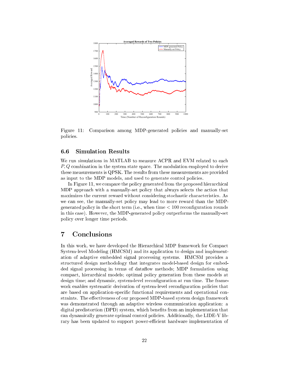

<span id="page-21-2"></span>Figure 11: Comparison among MDP-generated policies and manually-set policies.

#### <span id="page-21-0"></span>**Simulation Results**  $6.6$

We run simulations in MATLAB to measure ACPR and EVM related to each P, Q combination in the system state space. The modulation employed to derive these measurements is QPSK. The results from these measurements are provided as input to the MDP models, and used to generate control policies.

In Figure [11,](#page-21-2) we compare the policy generated from the proposed hierarchical MDP approach with a manually-set policy that always selects the action that maximizes the current reward without considering stochastic characteristics. As we can see, the manually-set policy may lead to more reward than the MDPgenerated poli
y in the short term (i.e., when time < 100 reconfiguration rounds in this case). However, the MDP-generated policy outperforms the manually-set poli
y over longer time periods.

#### <span id="page-21-1"></span> $\overline{7}$ **Conclusions**

In this work, we have developed the Hierarchical MDP framework for Compact System-level Modeling (HMCSM) and its application to design and implementation of adaptive embedded signal pro
essing systems. HMCSM provides a stru
tured design methodology that integrates model-based design for embedded signal processing in terms of dataflow methods; MDP formulation using ompa
t, hierar
hi
al models; optimal poli
y generation from these models at design time; and dynamic, system-level reconfiguration at run time. The framework enables systematic derivation of system-level reconfiguration policies that are based on application-specific functional requirements and operational constraints. The effectiveness of our proposed MDP-based system design framework was demonstrated through an adaptive wireless communication application: a digital predistortion (DPD) system, which benefits from an implementation that an dynami
ally generate optimal ontrol poli
ies. Additionally, the LIDE-V library has been updated to support power-efficient hardware implementation of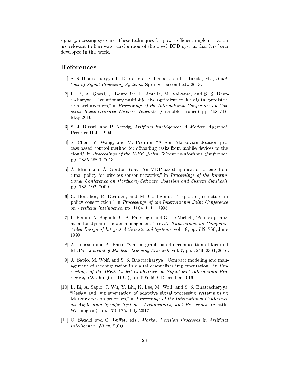signal processing systems. These techniques for power-efficient implementation are relevant to hardware acceleration of the novel DPD system that has been developed in this work.

### <span id="page-22-0"></span>References

- [1] S. S. Bhattacharyya, E. Deprettere, R. Leupers, and J. Takala, eds., *Hand*book of Signal Processing Systems. Springer, second ed., 2013.
- <span id="page-22-1"></span>[2] L. Li, A. Ghazi, J. Boutellier, L. Anttila, M. Valkama, and S. S. Bhattacharyya, "Evolutionary multiobjective optimization for digital predistortion architectures," in Proceedings of the International Conference on Coqnitive Radio Oriented Wireless Networks, (Grenoble, France), pp. 498–510. May 2016.
- <span id="page-22-2"></span>[3] S. J. Russell and P. Norvig, Artificial Intelligence: A Modern Approach. Prentice Hall, 1994.
- <span id="page-22-3"></span>[4] S. Chen, Y. Wang, and M. Pedram, "A semi-Markovian decision process based control method for offloading tasks from mobile devices to the cloud," in Proceedings of the IEEE Global Telecommunications Conference. pp. 2885-2890, 2013.
- <span id="page-22-4"></span>[5] A. Munir and A. Gordon-Ross, "An MDP-based application oriented optimal policy for wireless sensor networks," in Proceedings of the International Conference on Hardware/Software Codesign and System Synthesis. pp. 183-192, 2009.
- <span id="page-22-5"></span>[6] C. Boutilier, R. Dearden, and M. Goldszmidt, "Exploiting structure in policy construction," in Proceedings of the International Joint Conference on Artificial Intelligence, pp. 1104-1111, 1995.
- <span id="page-22-6"></span>[7] L. Benini, A. Bogliolo, G. A. Paleologo, and G. De Micheli, "Policy optimization for dynamic power management," IEEE Transactions on Computer-Aided Design of Integrated Circuits and Systems, vol. 18, pp. 742–760, June 1999.
- <span id="page-22-7"></span>[8] A. Jonsson and A. Barto, "Causal graph based decomposition of factored MDPs," Journal of Machine Learning Research, vol. 7, pp. 2259–2301, 2006
- <span id="page-22-8"></span>[9] A. Sapio, M. Wolf, and S. S. Bhattacharyya, "Compact modeling and management of reconfiguration in digital channelizer implementation," in Proceedings of the IEEE Global Conference on Signal and Information Processing, (Washington, D.C.), pp.  $595-599$ , December 2016.
- <span id="page-22-9"></span>[10] L. Li, A. Sapio, J. Wu, Y. Liu, K. Lee, M. Wolf, and S. S. Bhattacharyya, "Design and implementation of adaptive signal processing systems using Markov decision processes," in Proceedings of the International Conference on Application Specific Systems, Architectures, and Processors, (Seattle, Washington), pp. 170-175, July 2017.
- <span id="page-22-10"></span>[11] O. Sigaud and O. Buffet, eds., Markov Decision Processes in Artificial *Intelligence.* Wiley, 2010.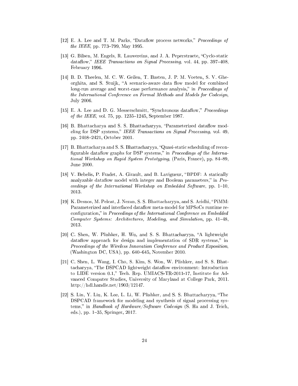- <span id="page-23-1"></span><span id="page-23-0"></span>[12] E. A. Lee and T. M. Parks, "Dataflow process networks," *Proceedings of the IEEE*, pp.  $773-799$ , May 1995.
- [13] G. Bilsen, M. Engels, R. Lauwereins, and J. A. Peperstraete, "Cyclo-static dataflow," IEEE Transactions on Signal Processing, vol. 44, pp. 397-408, February 1996.
- <span id="page-23-2"></span>[14] B. D. Theelen, M. C. W. Geilen, T. Basten, J. P. M. Voeten, S. V. Gheorghita, and S. Stuijk, "A scenario-aware data flow model for combined long-run average and worst-case performance analysis," in *Proceedings of* the International Conferen
e on Formal Methods and Models for Codesign, July 2006.
- <span id="page-23-3"></span>[15] E. A. Lee and D. G. Messerschmitt, "Synchronous dataflow," Proceedings *of the IEEE*, vol. 75, pp.  $1235-1245$ , September 1987.
- <span id="page-23-4"></span>[16] B. Bhattacharya and S. S. Bhattacharyya, "Parameterized dataflow modeling for DSP systems," IEEE Transactions on Signal Processing, vol. 49, pp. 2408-2421, October 2001.
- <span id="page-23-5"></span>[17] B. Bhattacharya and S. S. Bhattacharyya, "Quasi-static scheduling of reconfigurable dataflow graphs for DSP systems," in *Proceedings of the Interna*tional Workshop on Rapid System Prototyping, (Paris, France), pp. 84–89, June 2000.
- <span id="page-23-6"></span>[18] V. Bebelis, P. Fradet, A. Girault, and B. Lavigueur, "BPDF: A statically analyzable dataflow model with integer and Boolean parameters," in  $Pro$ ceedings of the International Workshop on Embedded Software, pp.  $1-10$ ,
- <span id="page-23-7"></span>[19] K. Desnos, M. Pelcat, J. Nezan, S. S. Bhattacharyya, and S. Aridhi, "PiMM: Parameterized and interfaced dataflow meta-model for MPSoCs runtime reconfiguration," in Proceedings of the International Conference on Embedded Computer Systems: Architectures, Modeling, and Simulation, pp. 41–48, 2013.
- <span id="page-23-8"></span>[20] C. Shen, W. Plishker, H. Wu, and S. S. Bhattacharyya, "A lightweight data flow approach for design and implementation of SDR systems," in Proceedings of the Wireless Innovation Conference and Product Exposition, (Washington DC, USA), pp.  $640-645$ , November 2010.
- <span id="page-23-9"></span>[21] C. Shen, L. Wang, I. Cho, S. Kim, S. Won, W. Plishker, and S. S. Bhattacharyya, "The DSPCAD lightweight dataflow environment: Introduction to LIDE version 0.1," Tech. Rep. UMIACS-TR-2011-17, Institute for Advan
ed Computer Studies, University of Maryland at College Park, 2011. http://hdl.handle.net/1903/12147.
- <span id="page-23-10"></span>[22] S. Lin, Y. Liu, K. Lee, L. Li, W. Plishker, and S. S. Bhattacharyya, "The DSPCAD framework for modeling and synthesis of signal processing systems," in Handbook of Hardware/Software Codesign (S. Ha and J. Teich, eds.), pp.  $1-35$ , Springer, 2017.